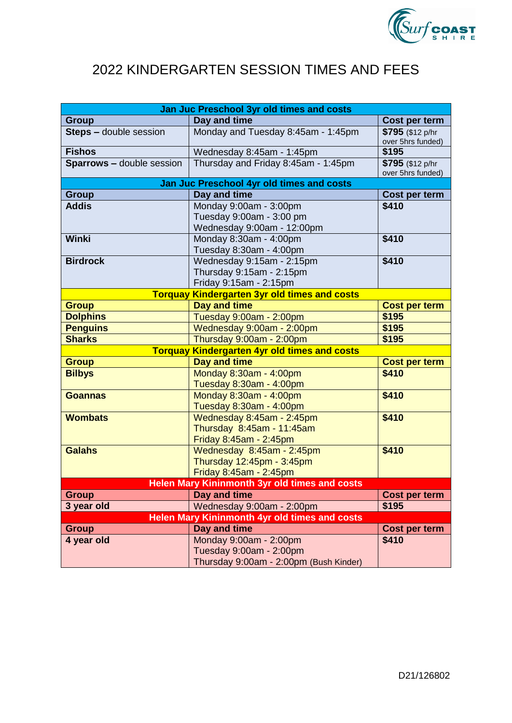

## 2022 KINDERGARTEN SESSION TIMES AND FEES

| Jan Juc Preschool 3yr old times and costs            |                                           |                      |  |
|------------------------------------------------------|-------------------------------------------|----------------------|--|
| <b>Group</b>                                         | Day and time                              | Cost per term        |  |
| Steps - double session                               | Monday and Tuesday 8:45am - 1:45pm        | \$795 (\$12 p/hr     |  |
|                                                      |                                           | over 5hrs funded)    |  |
| <b>Fishos</b>                                        | Wednesday 8:45am - 1:45pm                 | \$195                |  |
| <b>Sparrows - double session</b>                     | Thursday and Friday 8:45am - 1:45pm       | \$795 (\$12 p/hr     |  |
|                                                      | Jan Juc Preschool 4yr old times and costs | over 5hrs funded)    |  |
| Day and time<br><b>Group</b><br>Cost per term        |                                           |                      |  |
| <b>Addis</b>                                         | Monday 9:00am - 3:00pm                    | \$410                |  |
|                                                      | Tuesday 9:00am - 3:00 pm                  |                      |  |
|                                                      | Wednesday 9:00am - 12:00pm                |                      |  |
| Winki                                                | Monday 8:30am - 4:00pm                    | \$410                |  |
|                                                      | Tuesday 8:30am - 4:00pm                   |                      |  |
| <b>Birdrock</b>                                      | Wednesday 9:15am - 2:15pm                 | \$410                |  |
|                                                      | Thursday 9:15am - 2:15pm                  |                      |  |
|                                                      | Friday 9:15am - 2:15pm                    |                      |  |
| <b>Torquay Kindergarten 3yr old times and costs</b>  |                                           |                      |  |
| <b>Group</b>                                         | <b>Day and time</b>                       | <b>Cost per term</b> |  |
| <b>Dolphins</b>                                      | Tuesday 9:00am - 2:00pm                   | \$195                |  |
| <b>Penguins</b>                                      | Wednesday 9:00am - 2:00pm                 | \$195                |  |
| <b>Sharks</b>                                        | Thursday 9:00am - 2:00pm                  | \$195                |  |
| <b>Torquay Kindergarten 4yr old times and costs</b>  |                                           |                      |  |
| <b>Group</b>                                         | Day and time                              | <b>Cost per term</b> |  |
| <b>Bilbys</b>                                        | Monday 8:30am - 4:00pm                    | \$410                |  |
|                                                      | Tuesday 8:30am - 4:00pm                   |                      |  |
| <b>Goannas</b>                                       | Monday 8:30am - 4:00pm                    | \$410                |  |
|                                                      | Tuesday 8:30am - 4:00pm                   |                      |  |
| <b>Wombats</b>                                       | Wednesday 8:45am - 2:45pm                 | \$410                |  |
|                                                      | Thursday 8:45am - 11:45am                 |                      |  |
|                                                      | Friday 8:45am - 2:45pm                    |                      |  |
| <b>Galahs</b>                                        | Wednesday 8:45am - 2:45pm                 | \$410                |  |
|                                                      | Thursday 12:45pm - 3:45pm                 |                      |  |
|                                                      | Friday 8:45am - 2:45pm                    |                      |  |
| <b>Helen Mary Kininmonth 3yr old times and costs</b> |                                           |                      |  |
| <b>Group</b>                                         | Day and time                              | Cost per term        |  |
| 3 year old                                           | Wednesday 9:00am - 2:00pm                 | \$195                |  |
| <b>Helen Mary Kininmonth 4yr old times and costs</b> |                                           |                      |  |
| <b>Group</b>                                         | Day and time                              | Cost per term        |  |
| 4 year old                                           | Monday 9:00am - 2:00pm                    | \$410                |  |
|                                                      | Tuesday 9:00am - 2:00pm                   |                      |  |
|                                                      | Thursday 9:00am - 2:00pm (Bush Kinder)    |                      |  |